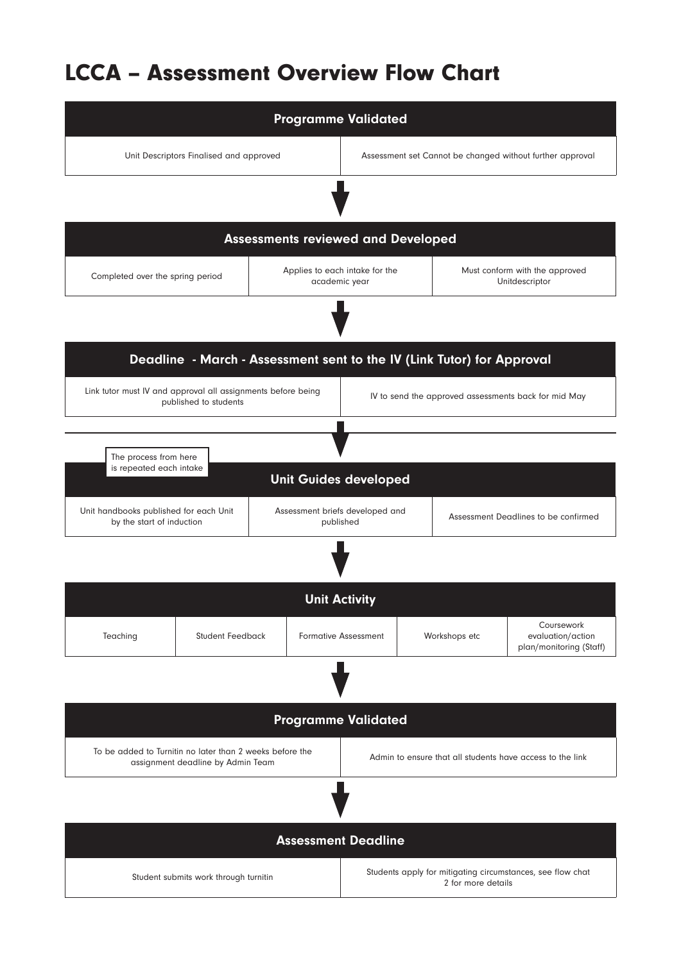## LCCA – Assessment Overview Flow Chart

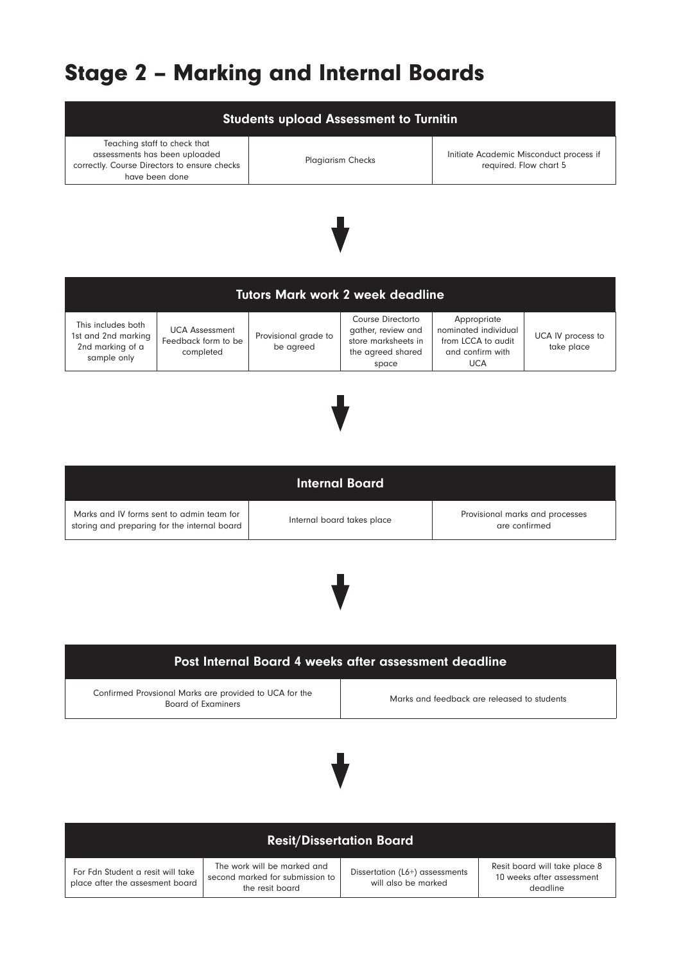## Stage 2 – Marking and Internal Boards

| <b>Students upload Assessment to Turnitin</b>                                                                                   |                                                           |                                   |                                                                                              |                                                                                             |                                 |
|---------------------------------------------------------------------------------------------------------------------------------|-----------------------------------------------------------|-----------------------------------|----------------------------------------------------------------------------------------------|---------------------------------------------------------------------------------------------|---------------------------------|
| Teaching staff to check that<br>assessments has been uploaded<br>correctly. Course Directors to ensure checks<br>have been done |                                                           |                                   | <b>Plagiarism Checks</b>                                                                     | Initiate Academic Misconduct process if<br>required. Flow chart 5                           |                                 |
|                                                                                                                                 |                                                           |                                   |                                                                                              |                                                                                             |                                 |
| <b>Tutors Mark work 2 week deadline</b>                                                                                         |                                                           |                                   |                                                                                              |                                                                                             |                                 |
| This includes both<br>1st and 2nd marking<br>2nd marking of a<br>sample only                                                    | <b>UCA Assessment</b><br>Feedback form to be<br>completed | Provisional grade to<br>be agreed | Course Directorto<br>gather, review and<br>store marksheets in<br>the agreed shared<br>space | Appropriate<br>nominated individual<br>from LCCA to audit<br>and confirm with<br><b>UCA</b> | UCA IV process to<br>take place |



|                                                                                           | Internal Board             |                                                  |
|-------------------------------------------------------------------------------------------|----------------------------|--------------------------------------------------|
| Marks and IV forms sent to admin team for<br>storing and preparing for the internal board | Internal board takes place | Provisional marks and processes<br>are confirmed |



| Post Internal Board 4 weeks after assessment deadline                               |                                             |  |  |
|-------------------------------------------------------------------------------------|---------------------------------------------|--|--|
| Confirmed Provsional Marks are provided to UCA for the<br><b>Board of Examiners</b> | Marks and feedback are released to students |  |  |
|                                                                                     |                                             |  |  |
|                                                                                     |                                             |  |  |
|                                                                                     |                                             |  |  |

| <b>Resit/Dissertation Board</b>                                      |                                                                                   |                                                       |                                                                        |  |
|----------------------------------------------------------------------|-----------------------------------------------------------------------------------|-------------------------------------------------------|------------------------------------------------------------------------|--|
| For Fdn Student a resit will take<br>place after the assesment board | The work will be marked and<br>second marked for submission to<br>the resit board | Dissertation (L6+) assessments<br>will also be marked | Resit board will take place 8<br>10 weeks after assessment<br>deadline |  |